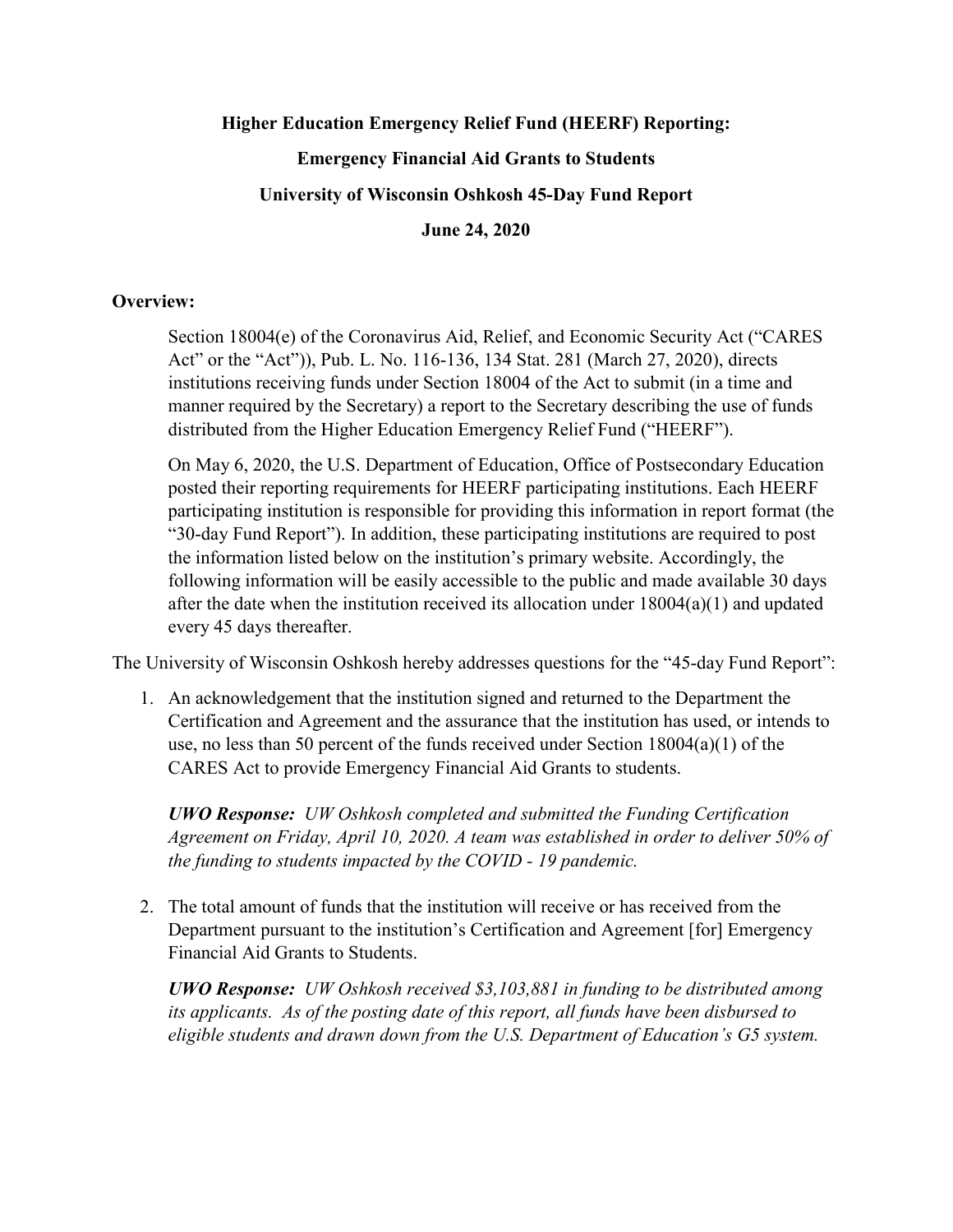## **Higher Education Emergency Relief Fund (HEERF) Reporting: Emergency Financial Aid Grants to Students University of Wisconsin Oshkosh 45-Day Fund Report June 24, 2020**

## **Overview:**

Section 18004(e) of the Coronavirus Aid, Relief, and Economic Security Act ("CARES Act" or the "Act")), Pub. L. No. 116-136, 134 Stat. 281 (March 27, 2020), directs institutions receiving funds under Section 18004 of the Act to submit (in a time and manner required by the Secretary) a report to the Secretary describing the use of funds distributed from the Higher Education Emergency Relief Fund ("HEERF").

On May 6, 2020, the U.S. Department of Education, Office of Postsecondary Education posted their reporting requirements for HEERF participating institutions. Each HEERF participating institution is responsible for providing this information in report format (the "30-day Fund Report"). In addition, these participating institutions are required to post the information listed below on the institution's primary website. Accordingly, the following information will be easily accessible to the public and made available 30 days after the date when the institution received its allocation under 18004(a)(1) and updated every 45 days thereafter.

The University of Wisconsin Oshkosh hereby addresses questions for the "45-day Fund Report":

1. An acknowledgement that the institution signed and returned to the Department the Certification and Agreement and the assurance that the institution has used, or intends to use, no less than 50 percent of the funds received under Section 18004(a)(1) of the CARES Act to provide Emergency Financial Aid Grants to students.

*UWO Response: UW Oshkosh completed and submitted the Funding Certification Agreement on Friday, April 10, 2020. A team was established in order to deliver 50% of the funding to students impacted by the COVID - 19 pandemic.*

2. The total amount of funds that the institution will receive or has received from the Department pursuant to the institution's Certification and Agreement [for] Emergency Financial Aid Grants to Students.

*UWO Response: UW Oshkosh received \$3,103,881 in funding to be distributed among its applicants. As of the posting date of this report, all funds have been disbursed to eligible students and drawn down from the U.S. Department of Education's G5 system.*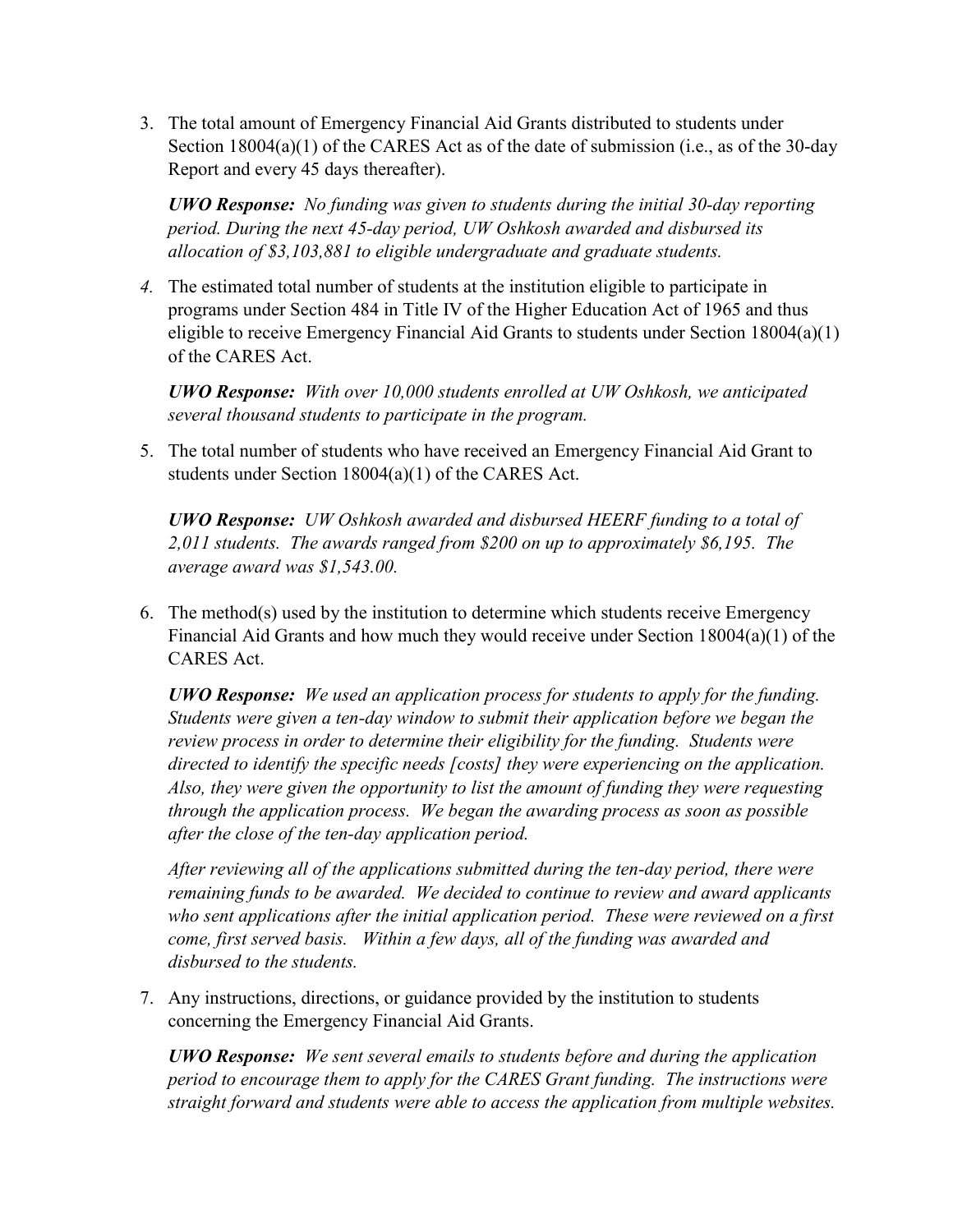3. The total amount of Emergency Financial Aid Grants distributed to students under Section 18004(a)(1) of the CARES Act as of the date of submission (i.e., as of the 30-day Report and every 45 days thereafter).

*UWO Response: No funding was given to students during the initial 30-day reporting period. During the next 45-day period, UW Oshkosh awarded and disbursed its allocation of \$3,103,881 to eligible undergraduate and graduate students.*

*4.* The estimated total number of students at the institution eligible to participate in programs under Section 484 in Title IV of the Higher Education Act of 1965 and thus eligible to receive Emergency Financial Aid Grants to students under Section 18004(a)(1) of the CARES Act.

*UWO Response: With over 10,000 students enrolled at UW Oshkosh, we anticipated several thousand students to participate in the program.*

5. The total number of students who have received an Emergency Financial Aid Grant to students under Section 18004(a)(1) of the CARES Act.

*UWO Response: UW Oshkosh awarded and disbursed HEERF funding to a total of 2,011 students. The awards ranged from \$200 on up to approximately \$6,195. The average award was \$1,543.00.*

6. The method(s) used by the institution to determine which students receive Emergency Financial Aid Grants and how much they would receive under Section 18004(a)(1) of the CARES Act.

*UWO Response: We used an application process for students to apply for the funding. Students were given a ten-day window to submit their application before we began the review process in order to determine their eligibility for the funding. Students were directed to identify the specific needs [costs] they were experiencing on the application. Also, they were given the opportunity to list the amount of funding they were requesting through the application process. We began the awarding process as soon as possible after the close of the ten-day application period.*

*After reviewing all of the applications submitted during the ten-day period, there were remaining funds to be awarded. We decided to continue to review and award applicants who sent applications after the initial application period. These were reviewed on a first come, first served basis. Within a few days, all of the funding was awarded and disbursed to the students.*

7. Any instructions, directions, or guidance provided by the institution to students concerning the Emergency Financial Aid Grants.

*UWO Response: We sent several emails to students before and during the application period to encourage them to apply for the CARES Grant funding. The instructions were straight forward and students were able to access the application from multiple websites.*